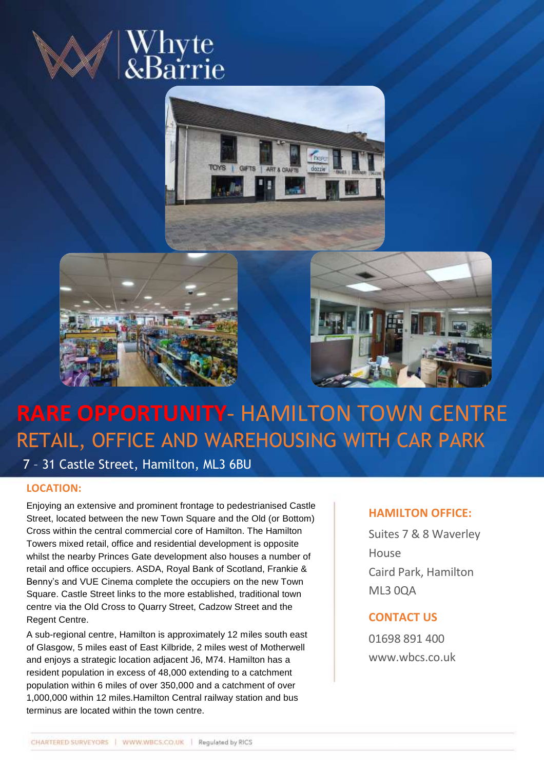







# **RARE OPPORTUNITY**- HAMILTON TOWN CENTRE RETAIL, OFFICE AND WAREHOUSING WITH CAR PARK

7 – 31 Castle Street, Hamilton, ML3 6BU

## **LOCATION:**

Enjoying an extensive and prominent frontage to pedestrianised Castle Street, located between the new Town Square and the Old (or Bottom) Cross within the central commercial core of Hamilton. The Hamilton Towers mixed retail, office and residential development is opposite whilst the nearby Princes Gate development also houses a number of retail and office occupiers. ASDA, Royal Bank of Scotland, Frankie & Benny's and VUE Cinema complete the occupiers on the new Town Square. Castle Street links to the more established, traditional town centre via the Old Cross to Quarry Street, Cadzow Street and the Regent Centre.

A sub-regional centre, Hamilton is approximately 12 miles south east of Glasgow, 5 miles east of East Kilbride, 2 miles west of Motherwell and enjoys a strategic location adjacent J6, M74. Hamilton has a resident population in excess of 48,000 extending to a catchment population within 6 miles of over 350,000 and a catchment of over 1,000,000 within 12 miles.Hamilton Central railway station and bus terminus are located within the town centre.

# **HAMILTON OFFICE:**

Suites 7 & 8 Waverley House Caird Park, Hamilton ML3 0QA

# **CONTACT US**

01698 891 400 www.wbcs.co.uk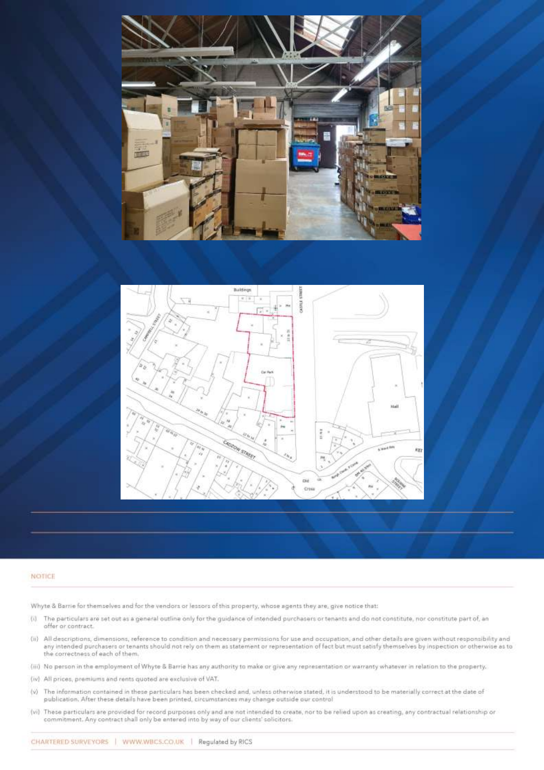



#### NOTICE

Whyte & Barrie for themselves and for the vendors or lessors of this property, whose agents they are, give notice that:

- (i) The particulars are set out as a general outline only for the guidance of intended purchasers or tenants and do not constitute, nor constitute part of, an offer or contract.
- (ii) All descriptions, dimensions, reference to condition and necessary permissions for use and occupation, and other details are given without responsibility and any intended purchasers or tenants should not rely on them as statement or representation of fact but must satisfy themselves by inspection or otherwise as to the correctness of each of them.
- (iii) No person in the employment of Whyte & Barrie has any authority to make or give any representation or warranty whatever in relation to the property.
- (iv) All prices, premiums and rents quoted are exclusive of VAT.
- (v) The information contained in these particulars has been checked and, unless otherwise stated, it is understood to be materially correct at the date of publication. After these details have been printed, circumstances may change outside our control
- (vi) These particulars are provided for record purposes only and are not intended to create, nor to be relied upon as creating, any contractual relationship or commitment. Any contract shall only be entered into by way of